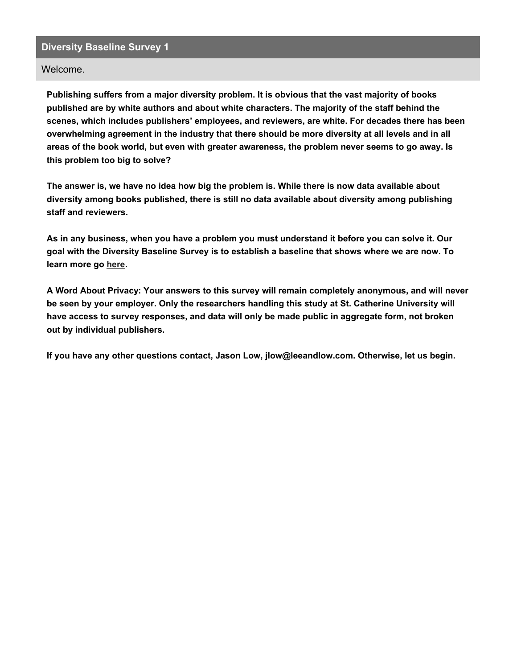#### Welcome.

**Publishing suffers from a major diversity problem. It is obvious that the vast majority of books published are by white authors and about white characters. The majority of the staff behind the scenes, which includes publishers' employees, and reviewers, are white. For decades there has been overwhelming agreement in the industry that there should be more diversity at all levels and in all areas of the book world, but even with greater awareness, the problem never seems to go away. Is this problem too big to solve?**

The answer is, we have no idea how big the problem is. While there is now data available about **diversity among books published, there is still no data available about diversity among publishing staff and reviewers.**

As in any business, when you have a problem you must understand it before you can solve it. Our **goal with the Diversity Baseline Survey is to establish a baseline that shows where we are now. To learn more go [here](https://www.leeandlow.com/about-us/the-diversity-baseline-survey).**

**A Word About Privacy: Your answers to this survey will remain completely anonymous, and will never be seen by your employer. Only the researchers handling this study at St. Catherine University will have access to survey responses, and data will only be made public in aggregate form, not broken out by individual publishers.**

**If you have any other questions contact, Jason Low, jlow@leeandlow.com. Otherwise, let us begin.**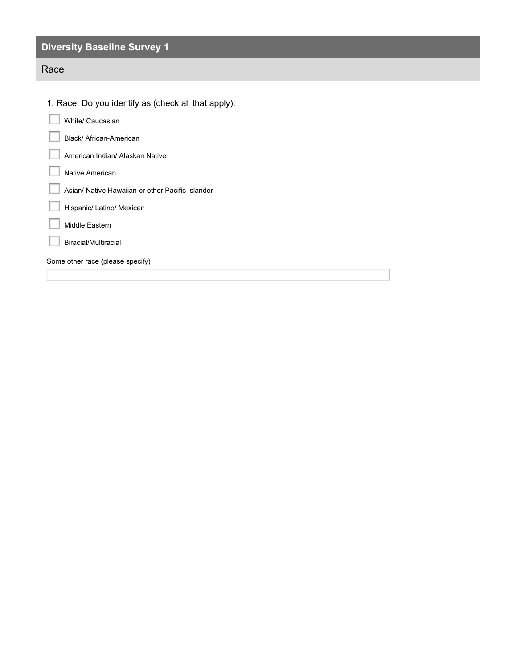## Race

| 1. Race: Do you identify as (check all that apply): |  |
|-----------------------------------------------------|--|
| White/ Caucasian                                    |  |
| Black/ African-American                             |  |
| American Indian/ Alaskan Native                     |  |
| Native American                                     |  |
| Asian/ Native Hawaiian or other Pacific Islander    |  |
| Hispanic/ Latino/ Mexican                           |  |
| Middle Eastern                                      |  |
| Biracial/Multiracial                                |  |
| Some other race (please specify)                    |  |
|                                                     |  |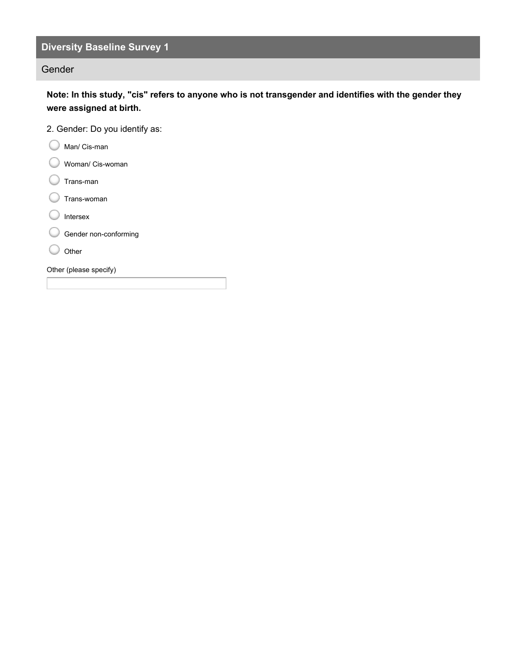#### Gender

Note: In this study, "cis" refers to anyone who is not transgender and identifies with the gender they **were assigned at birth.**

- 2. Gender: Do you identify as:
- C Man/ Cis-man
- Woman/ Cis-woman
- C Trans-man
- C Trans-woman
- C Intersex
- Gender non-conforming
- C Other

Other (please specify)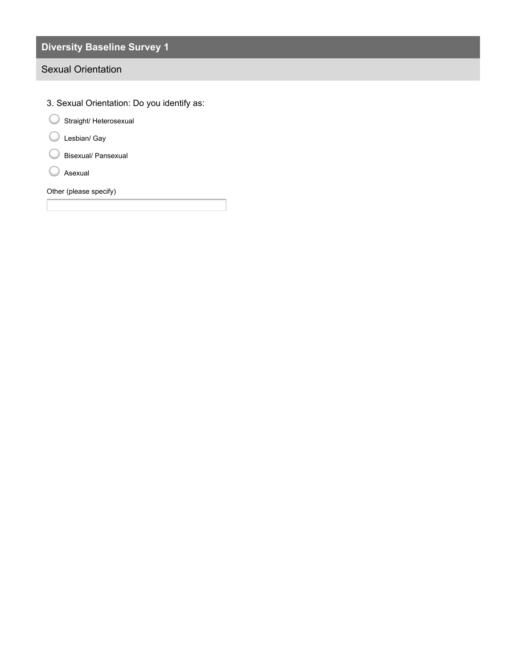### Sexual Orientation

3. Sexual Orientation: Do you identify as: Other (please specify) Straight/ Heterosexual Lesbian/ Gay Bisexual/ Pansexual Asexual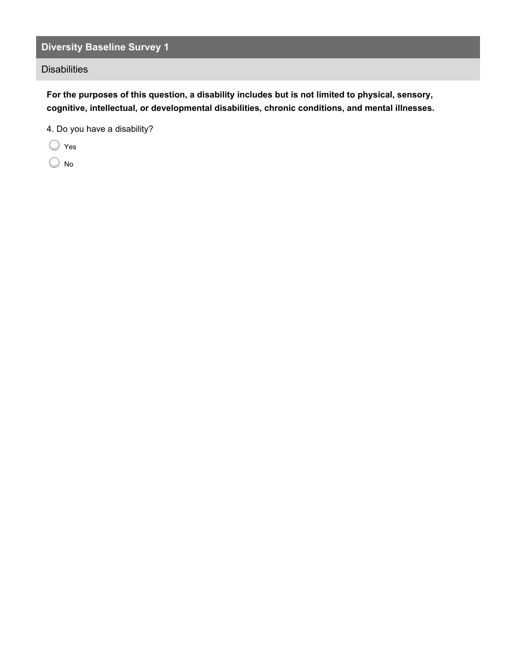**Disabilities** 

**For the purposes of this question, a disability includes but is not limited to physical, sensory, cognitive, intellectual, or developmental disabilities, chronic conditions, and mental illnesses.**

4. Do you have a disability?

Yes  $\bigcirc$ 

No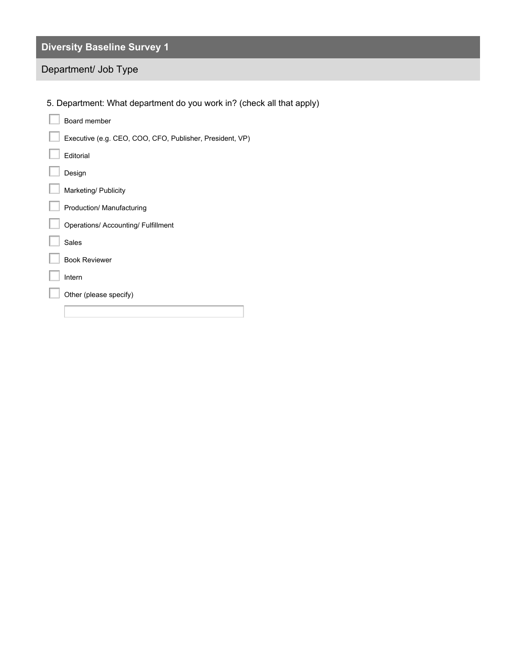## Department/ Job Type

5. Department: What department do you work in? (check all that apply)

| Board member                                             |
|----------------------------------------------------------|
| Executive (e.g. CEO, COO, CFO, Publisher, President, VP) |
| Editorial                                                |
| Design                                                   |
| Marketing/ Publicity                                     |
| Production/ Manufacturing                                |
| <b>Operations/ Accounting/ Fulfillment</b>               |
| <b>Sales</b>                                             |
| <b>Book Reviewer</b>                                     |
| Intern                                                   |
| Other (please specify)                                   |
|                                                          |